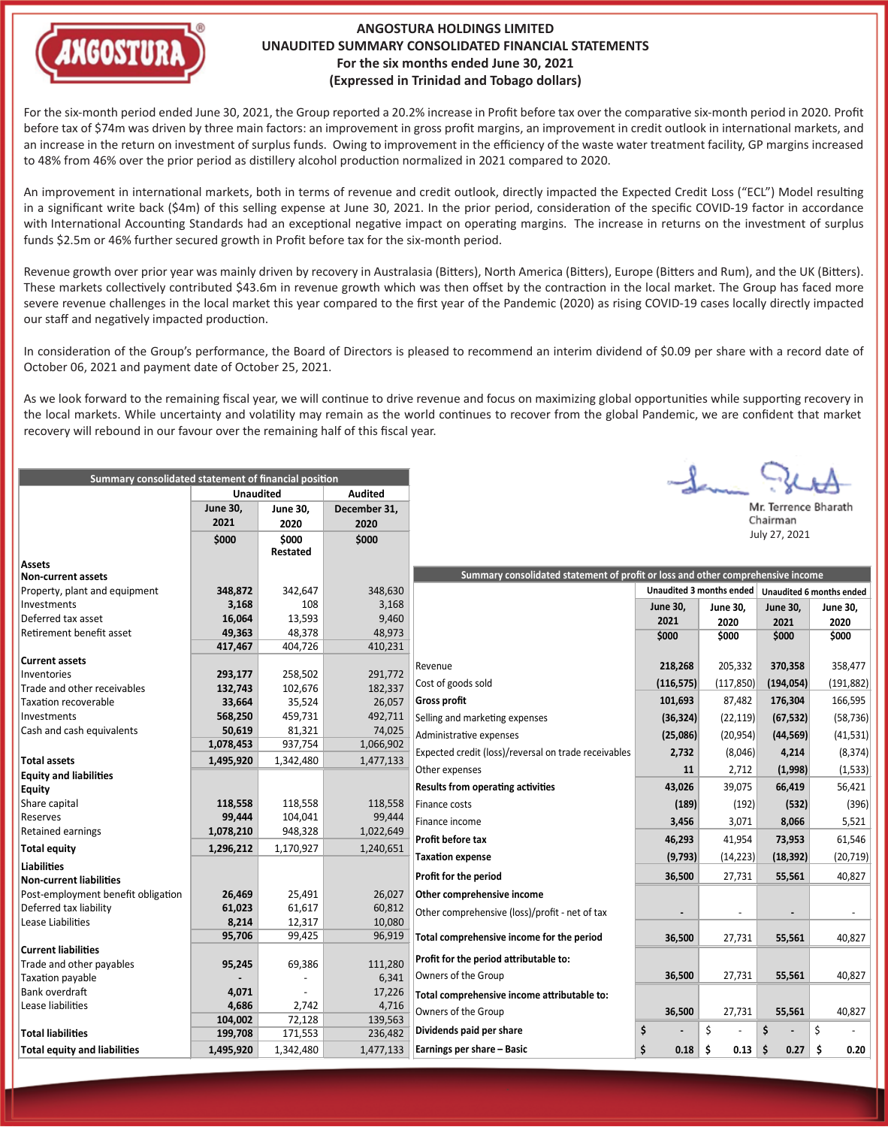

## **ANGOSTURA HOLDINGS LIMITED UNAUDITED SUMMARY CONSOLIDATED FINANCIAL STATEMENTS For the six months ended June 30, 2021 (Expressed in Trinidad and Tobago dollars)**

For the six-month period ended June 30, 2021, the Group reported a 20.2% increase in Profit before tax over the comparative six-month period in 2020. Profit before tax of \$74m was driven by three main factors: an improvement in gross profit margins, an improvement in credit outlook in international markets, and an increase in the return on investment of surplus funds. Owing to improvement in the efficiency of the waste water treatment facility, GP margins increased to 48% from 46% over the prior period as distillery alcohol production normalized in 2021 compared to 2020.

An improvement in international markets, both in terms of revenue and credit outlook, directly impacted the Expected Credit Loss ("ECL") Model resulting in a significant write back (\$4m) of this selling expense at June 30, 2021. In the prior period, consideration of the specific COVID-19 factor in accordance with International Accounting Standards had an exceptional negative impact on operating margins. The increase in returns on the investment of surplus funds \$2.5m or 46% further secured growth in Profit before tax for the six-month period.

Revenue growth over prior year was mainly driven by recovery in Australasia (Bitters), North America (Bitters), Europe (Bitters and Rum), and the UK (Bitters). These markets collectively contributed \$43.6m in revenue growth which was then offset by the contraction in the local market. The Group has faced more severe revenue challenges in the local market this year compared to the first year of the Pandemic (2020) as rising COVID-19 cases locally directly impacted our staff and negatively impacted production.

In consideration of the Group's performance, the Board of Directors is pleased to recommend an interim dividend of \$0.09 per share with a record date of October 06, 2021 and payment date of October 25, 2021.

As we look forward to the remaining fiscal year, we will continue to drive revenue and focus on maximizing global opportunities while supporting recovery in the local markets. While uncertainty and volatility may remain as the world continues to recover from the global Pandemic, we are confident that market recovery will rebound in our favour over the remaining half of this fiscal year.

| Summary consolidated statement of financial position |                                    |                 |                |                                                                                 |                 |                 |                      |                 |  |  |
|------------------------------------------------------|------------------------------------|-----------------|----------------|---------------------------------------------------------------------------------|-----------------|-----------------|----------------------|-----------------|--|--|
|                                                      | <b>Audited</b><br><b>Unaudited</b> |                 |                |                                                                                 |                 |                 |                      |                 |  |  |
|                                                      | <b>June 30,</b>                    | <b>June 30,</b> | December 31,   |                                                                                 |                 |                 | Mr. Terrence Bharath |                 |  |  |
|                                                      | 2021                               | 2020            | 2020           |                                                                                 |                 |                 | Chairman             |                 |  |  |
|                                                      | \$000                              | \$000           | \$000          |                                                                                 |                 |                 | July 27, 2021        |                 |  |  |
|                                                      |                                    | <b>Restated</b> |                |                                                                                 |                 |                 |                      |                 |  |  |
| <b>Assets</b>                                        |                                    |                 |                |                                                                                 |                 |                 |                      |                 |  |  |
| <b>Non-current assets</b>                            |                                    |                 |                | Summary consolidated statement of profit or loss and other comprehensive income |                 |                 |                      |                 |  |  |
| Property, plant and equipment<br>Investments         | 348,872                            | 342,647<br>108  | 348,630        | Unaudited 3 months ended<br>Unaudited 6 months ended                            |                 |                 |                      |                 |  |  |
| Deferred tax asset                                   | 3,168<br>16,064                    | 13,593          | 3,168<br>9,460 |                                                                                 | <b>June 30,</b> | <b>June 30,</b> | <b>June 30,</b>      | <b>June 30,</b> |  |  |
| Retirement benefit asset                             | 49,363                             | 48,378          | 48,973         |                                                                                 | 2021            | 2020            | 2021                 | 2020            |  |  |
|                                                      | 417,467                            | 404,726         | 410,231        |                                                                                 | \$000           | \$000           | \$000                | \$000           |  |  |
| <b>Current assets</b>                                |                                    |                 |                |                                                                                 |                 |                 |                      |                 |  |  |
| Inventories                                          | 293,177                            | 258,502         | 291,772        | Revenue                                                                         | 218,268         | 205,332         | 370,358              | 358,477         |  |  |
| Trade and other receivables                          | 132,743                            | 102,676         | 182,337        | Cost of goods sold                                                              | (116, 575)      | (117, 850)      | (194, 054)           | (191, 882)      |  |  |
| <b>Taxation recoverable</b>                          | 33,664                             | 35,524          | 26,057         | <b>Gross profit</b>                                                             | 101,693         | 87,482          | 176,304              | 166,595         |  |  |
| Investments                                          | 568,250                            | 459,731         | 492,711        | Selling and marketing expenses                                                  | (36, 324)       | (22, 119)       | (67, 532)            | (58, 736)       |  |  |
| Cash and cash equivalents                            | 50,619                             | 81,321          | 74,025         |                                                                                 |                 |                 |                      |                 |  |  |
|                                                      | 1,078,453                          | 937,754         | 1,066,902      | Administrative expenses                                                         | (25,086)        | (20, 954)       | (44, 569)            | (41, 531)       |  |  |
| <b>Total assets</b>                                  | 1,495,920                          | 1,342,480       | 1,477,133      | Expected credit (loss)/reversal on trade receivables                            | 2,732           | (8,046)         | 4,214                | (8, 374)        |  |  |
| <b>Equity and liabilities</b>                        |                                    |                 |                | Other expenses                                                                  | 11              | 2,712           | (1,998)              | (1, 533)        |  |  |
| <b>Equity</b>                                        |                                    |                 |                | <b>Results from operating activities</b>                                        | 43,026          | 39,075          | 66,419               | 56,421          |  |  |
| Share capital                                        | 118,558                            | 118,558         | 118,558        | Finance costs                                                                   | (189)           | (192)           | (532)                | (396)           |  |  |
| Reserves                                             | 99,444                             | 104,041         | 99,444         | Finance income                                                                  | 3,456           | 3,071           | 8,066                | 5,521           |  |  |
| Retained earnings                                    | 1,078,210                          | 948,328         | 1,022,649      |                                                                                 |                 |                 |                      |                 |  |  |
| <b>Total equity</b>                                  | 1,296,212                          | 1,170,927       | 1,240,651      | Profit before tax                                                               | 46,293          | 41,954          | 73,953               | 61,546          |  |  |
| <b>Liabilities</b>                                   |                                    |                 |                | <b>Taxation expense</b>                                                         | (9, 793)        | (14, 223)       | (18, 392)            | (20, 719)       |  |  |
| <b>Non-current liabilities</b>                       |                                    |                 |                | Profit for the period                                                           | 36,500          | 27,731          | 55,561               | 40,827          |  |  |
| Post-employment benefit obligation                   | 26,469                             | 25,491          | 26,027         | Other comprehensive income                                                      |                 |                 |                      |                 |  |  |
| Deferred tax liability                               | 61,023                             | 61,617          | 60,812         | Other comprehensive (loss)/profit - net of tax                                  |                 |                 |                      |                 |  |  |
| Lease Liabilities                                    | 8,214                              | 12,317          | 10,080         |                                                                                 |                 |                 |                      |                 |  |  |
|                                                      | 95,706                             | 99,425          | 96,919         | Total comprehensive income for the period                                       | 36,500          | 27,731          | 55,561               | 40,827          |  |  |
| <b>Current liabilities</b>                           |                                    |                 |                |                                                                                 |                 |                 |                      |                 |  |  |
| Trade and other payables                             | 95,245                             | 69,386          | 111,280        | Profit for the period attributable to:                                          |                 |                 |                      |                 |  |  |
| Taxation payable                                     |                                    |                 | 6,341          | Owners of the Group                                                             | 36,500          | 27,731          | 55,561               | 40,827          |  |  |
| Bank overdraft                                       | 4,071                              |                 | 17,226         | Total comprehensive income attributable to:                                     |                 |                 |                      |                 |  |  |
| Lease liabilities                                    | 4,686                              | 2,742           | 4,716          | Owners of the Group                                                             | 36,500          | 27,731          | 55,561               | 40,827          |  |  |
|                                                      | 104,002                            | 72,128          | 139,563        | Dividends paid per share                                                        | \$              | \$              | Ś                    | \$              |  |  |
| <b>Total liabilities</b>                             | 199,708                            | 171,553         | 236,482        |                                                                                 |                 |                 |                      |                 |  |  |
| <b>Total equity and liabilities</b>                  | 1,495,920                          | 1,342,480       | 1,477,133      | Earnings per share - Basic                                                      | \$<br>0.18      | Ŝ.<br>0.13      | -\$<br>0.27          | \$ ا<br>0.20    |  |  |